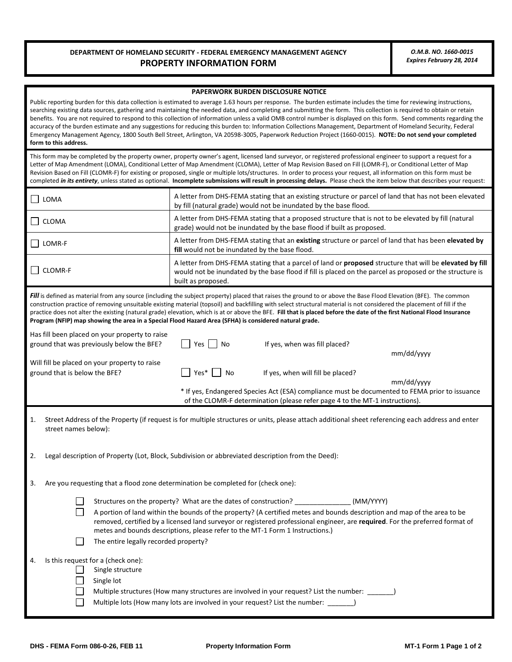## **DEPARTMENT OF HOMELAND SECURITY - FEDERAL EMERGENCY MANAGEMENT AGENCY** *O.M.B. NO. 1660-0015*  **PROPERTY INFORMATION FORM**

#### **PAPERWORK BURDEN DISCLOSURE NOTICE**

Public reporting burden for this data collection is estimated to average 1.63 hours per response. The burden estimate includes the time for reviewing instructions, searching existing data sources, gathering and maintaining the needed data, and completing and submitting the form. This collection is required to obtain or retain benefits. You are not required to respond to this collection of information unless a valid OMB control number is displayed on this form. Send comments regarding the accuracy of the burden estimate and any suggestions for reducing this burden to: Information Collections Management, Department of Homeland Security, Federal Emergency Management Agency, 1800 South Bell Street, Arlington, VA 20598-3005, Paperwork Reduction Project (1660-0015). **NOTE: Do not send your completed form to this address.** 

 This form may be completed by the property owner, property owner's agent, licensed land surveyor, or registered professional engineer to support a request for a Revision Based on Fill (CLOMR-F) for existing or proposed, single or multiple lots/structures. In order to process your request, all information on this form must be completed *in its entirety*, unless stated as optional. **Incomplete submissions will result in processing delays.** Please check the item below that describes your request: Letter of Map Amendment (LOMA), Conditional Letter of Map Amendment (CLOMA), Letter of Map Revision Based on Fill (LOMR-F), or Conditional Letter of Map

| LOMA                                                                                                                                                                                                                                                                                                                                                                                                                                                                                                                                                                                                                                     | A letter from DHS-FEMA stating that an existing structure or parcel of land that has not been elevated<br>by fill (natural grade) would not be inundated by the base flood.                                                                              |  |  |  |  |
|------------------------------------------------------------------------------------------------------------------------------------------------------------------------------------------------------------------------------------------------------------------------------------------------------------------------------------------------------------------------------------------------------------------------------------------------------------------------------------------------------------------------------------------------------------------------------------------------------------------------------------------|----------------------------------------------------------------------------------------------------------------------------------------------------------------------------------------------------------------------------------------------------------|--|--|--|--|
| CLOMA                                                                                                                                                                                                                                                                                                                                                                                                                                                                                                                                                                                                                                    | A letter from DHS-FEMA stating that a proposed structure that is not to be elevated by fill (natural<br>grade) would not be inundated by the base flood if built as proposed.                                                                            |  |  |  |  |
| LOMR-F                                                                                                                                                                                                                                                                                                                                                                                                                                                                                                                                                                                                                                   | A letter from DHS-FEMA stating that an existing structure or parcel of land that has been elevated by<br>fill would not be inundated by the base flood.                                                                                                  |  |  |  |  |
| <b>CLOMR-F</b>                                                                                                                                                                                                                                                                                                                                                                                                                                                                                                                                                                                                                           | A letter from DHS-FEMA stating that a parcel of land or <b>proposed</b> structure that will be <b>elevated by fill</b><br>would not be inundated by the base flood if fill is placed on the parcel as proposed or the structure is<br>built as proposed. |  |  |  |  |
| <b>Fill</b> is defined as material from any source (including the subject property) placed that raises the ground to or above the Base Flood Elevation (BFE). The common<br>construction practice of removing unsuitable existing material (topsoil) and backfilling with select structural material is not considered the placement of fill if the<br>practice does not alter the existing (natural grade) elevation, which is at or above the BFE. Fill that is placed before the date of the first National Flood Insurance<br>Program (NFIP) map showing the area in a Special Flood Hazard Area (SFHA) is considered natural grade. |                                                                                                                                                                                                                                                          |  |  |  |  |
| Has fill been placed on your property to raise                                                                                                                                                                                                                                                                                                                                                                                                                                                                                                                                                                                           |                                                                                                                                                                                                                                                          |  |  |  |  |
| ground that was previously below the BFE?                                                                                                                                                                                                                                                                                                                                                                                                                                                                                                                                                                                                | Yes<br>No<br>If yes, when was fill placed?<br>mm/dd/yyyy                                                                                                                                                                                                 |  |  |  |  |
| Will fill be placed on your property to raise<br>ground that is below the BFE?                                                                                                                                                                                                                                                                                                                                                                                                                                                                                                                                                           | Yes*<br>If yes, when will fill be placed?<br><b>No</b><br>mm/dd/yyyy                                                                                                                                                                                     |  |  |  |  |
|                                                                                                                                                                                                                                                                                                                                                                                                                                                                                                                                                                                                                                          | * If yes, Endangered Species Act (ESA) compliance must be documented to FEMA prior to issuance<br>of the CLOMR-F determination (please refer page 4 to the MT-1 instructions).                                                                           |  |  |  |  |
| Street Address of the Property (if request is for multiple structures or units, please attach additional sheet referencing each address and enter<br>1.<br>street names below):                                                                                                                                                                                                                                                                                                                                                                                                                                                          |                                                                                                                                                                                                                                                          |  |  |  |  |
| Legal description of Property (Lot, Block, Subdivision or abbreviated description from the Deed):<br>2.                                                                                                                                                                                                                                                                                                                                                                                                                                                                                                                                  |                                                                                                                                                                                                                                                          |  |  |  |  |
| 3.<br>Are you requesting that a flood zone determination be completed for (check one):                                                                                                                                                                                                                                                                                                                                                                                                                                                                                                                                                   |                                                                                                                                                                                                                                                          |  |  |  |  |
| Structures on the property? What are the dates of construction?<br>(MM/YYYY)<br>A portion of land within the bounds of the property? (A certified metes and bounds description and map of the area to be<br>removed, certified by a licensed land surveyor or registered professional engineer, are required. For the preferred format of<br>metes and bounds descriptions, please refer to the MT-1 Form 1 Instructions.)                                                                                                                                                                                                               |                                                                                                                                                                                                                                                          |  |  |  |  |
|                                                                                                                                                                                                                                                                                                                                                                                                                                                                                                                                                                                                                                          | The entire legally recorded property?                                                                                                                                                                                                                    |  |  |  |  |
| Is this request for a (check one):<br>4.<br>Single structure<br>Single lot                                                                                                                                                                                                                                                                                                                                                                                                                                                                                                                                                               |                                                                                                                                                                                                                                                          |  |  |  |  |
| Multiple structures (How many structures are involved in your request? List the number:                                                                                                                                                                                                                                                                                                                                                                                                                                                                                                                                                  |                                                                                                                                                                                                                                                          |  |  |  |  |

П Multiple lots (How many lots are involved in your request? List the number: \_\_\_\_\_\_\_)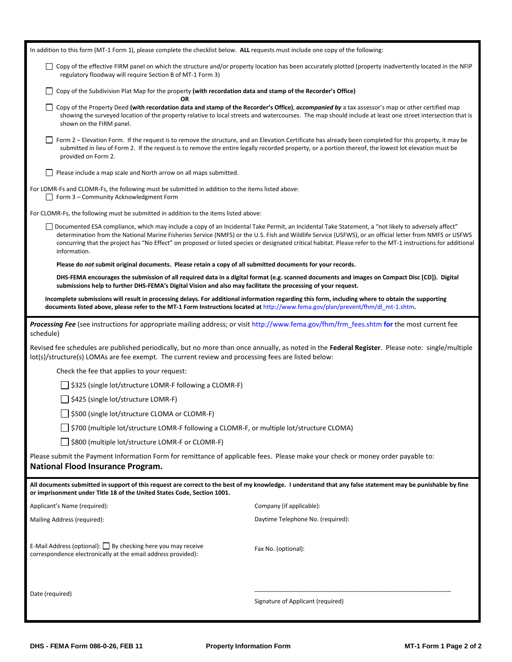| In addition to this form (MT-1 Form 1), please complete the checklist below. ALL requests must include one copy of the following:                                                                                                                                                     |                                                                                                                                                                                                                                                                                                                                                                                                                                                                                 |  |  |  |  |
|---------------------------------------------------------------------------------------------------------------------------------------------------------------------------------------------------------------------------------------------------------------------------------------|---------------------------------------------------------------------------------------------------------------------------------------------------------------------------------------------------------------------------------------------------------------------------------------------------------------------------------------------------------------------------------------------------------------------------------------------------------------------------------|--|--|--|--|
| □ Copy of the effective FIRM panel on which the structure and/or property location has been accurately plotted (property inadvertently located in the NFIP<br>regulatory floodway will require Section B of MT-1 Form 3)                                                              |                                                                                                                                                                                                                                                                                                                                                                                                                                                                                 |  |  |  |  |
| ΟR                                                                                                                                                                                                                                                                                    | Copy of the Subdivision Plat Map for the property (with recordation data and stamp of the Recorder's Office)                                                                                                                                                                                                                                                                                                                                                                    |  |  |  |  |
| shown on the FIRM panel.                                                                                                                                                                                                                                                              | Copy of the Property Deed (with recordation data and stamp of the Recorder's Office), accompanied by a tax assessor's map or other certified map<br>showing the surveyed location of the property relative to local streets and watercourses. The map should include at least one street intersection that is                                                                                                                                                                   |  |  |  |  |
| provided on Form 2.                                                                                                                                                                                                                                                                   | Form 2 - Elevation Form. If the request is to remove the structure, and an Elevation Certificate has already been completed for this property, it may be<br>submitted in lieu of Form 2. If the request is to remove the entire legally recorded property, or a portion thereof, the lowest lot elevation must be                                                                                                                                                               |  |  |  |  |
| Please include a map scale and North arrow on all maps submitted.                                                                                                                                                                                                                     |                                                                                                                                                                                                                                                                                                                                                                                                                                                                                 |  |  |  |  |
| For LOMR-Fs and CLOMR-Fs, the following must be submitted in addition to the items listed above:<br>Form 3 - Community Acknowledgment Form                                                                                                                                            |                                                                                                                                                                                                                                                                                                                                                                                                                                                                                 |  |  |  |  |
| For CLOMR-Fs, the following must be submitted in addition to the items listed above:                                                                                                                                                                                                  |                                                                                                                                                                                                                                                                                                                                                                                                                                                                                 |  |  |  |  |
| information.                                                                                                                                                                                                                                                                          | Documented ESA compliance, which may include a copy of an Incidental Take Permit, an Incidental Take Statement, a "not likely to adversely affect"<br>determination from the National Marine Fisheries Service (NMFS) or the U.S. Fish and Wildlife Service (USFWS), or an official letter from NMFS or USFWS<br>concurring that the project has "No Effect" on proposed or listed species or designated critical habitat. Please refer to the MT-1 instructions for additional |  |  |  |  |
| Please do not submit original documents. Please retain a copy of all submitted documents for your records.                                                                                                                                                                            |                                                                                                                                                                                                                                                                                                                                                                                                                                                                                 |  |  |  |  |
| submissions help to further DHS-FEMA's Digital Vision and also may facilitate the processing of your request.                                                                                                                                                                         | DHS-FEMA encourages the submission of all required data in a digital format (e.g. scanned documents and images on Compact Disc [CD]). Digital                                                                                                                                                                                                                                                                                                                                   |  |  |  |  |
| Incomplete submissions will result in processing delays. For additional information regarding this form, including where to obtain the supporting<br>documents listed above, please refer to the MT-1 Form Instructions located at http://www.fema.gov/plan/prevent/fhm/dl_mt-1.shtm. |                                                                                                                                                                                                                                                                                                                                                                                                                                                                                 |  |  |  |  |
| Processing Fee (see instructions for appropriate mailing address; or visit http://www.fema.gov/fhm/frm_fees.shtm for the most current fee<br>schedule)                                                                                                                                |                                                                                                                                                                                                                                                                                                                                                                                                                                                                                 |  |  |  |  |
| lot(s)/structure(s) LOMAs are fee exempt. The current review and processing fees are listed below:                                                                                                                                                                                    | Revised fee schedules are published periodically, but no more than once annually, as noted in the Federal Register. Please note: single/multiple                                                                                                                                                                                                                                                                                                                                |  |  |  |  |
| Check the fee that applies to your request:                                                                                                                                                                                                                                           |                                                                                                                                                                                                                                                                                                                                                                                                                                                                                 |  |  |  |  |
| \$325 (single lot/structure LOMR-F following a CLOMR-F)                                                                                                                                                                                                                               |                                                                                                                                                                                                                                                                                                                                                                                                                                                                                 |  |  |  |  |
| S425 (single lot/structure LOMR-F)                                                                                                                                                                                                                                                    |                                                                                                                                                                                                                                                                                                                                                                                                                                                                                 |  |  |  |  |
| \$500 (single lot/structure CLOMA or CLOMR-F)                                                                                                                                                                                                                                         |                                                                                                                                                                                                                                                                                                                                                                                                                                                                                 |  |  |  |  |
|                                                                                                                                                                                                                                                                                       | \$700 (multiple lot/structure LOMR-F following a CLOMR-F, or multiple lot/structure CLOMA)                                                                                                                                                                                                                                                                                                                                                                                      |  |  |  |  |
| \$800 (multiple lot/structure LOMR-F or CLOMR-F)                                                                                                                                                                                                                                      |                                                                                                                                                                                                                                                                                                                                                                                                                                                                                 |  |  |  |  |
| Please submit the Payment Information Form for remittance of applicable fees. Please make your check or money order payable to:<br><b>National Flood Insurance Program.</b>                                                                                                           |                                                                                                                                                                                                                                                                                                                                                                                                                                                                                 |  |  |  |  |
| All documents submitted in support of this request are correct to the best of my knowledge. I understand that any false statement may be punishable by fine<br>or imprisonment under Title 18 of the United States Code, Section 1001.                                                |                                                                                                                                                                                                                                                                                                                                                                                                                                                                                 |  |  |  |  |
| Applicant's Name (required):                                                                                                                                                                                                                                                          | Company (if applicable):                                                                                                                                                                                                                                                                                                                                                                                                                                                        |  |  |  |  |
| Mailing Address (required):                                                                                                                                                                                                                                                           | Daytime Telephone No. (required):                                                                                                                                                                                                                                                                                                                                                                                                                                               |  |  |  |  |
| E-Mail Address (optional): $\Box$ By checking here you may receive<br>correspondence electronically at the email address provided):                                                                                                                                                   | Fax No. (optional):                                                                                                                                                                                                                                                                                                                                                                                                                                                             |  |  |  |  |
| Date (required)                                                                                                                                                                                                                                                                       | Signature of Applicant (required)                                                                                                                                                                                                                                                                                                                                                                                                                                               |  |  |  |  |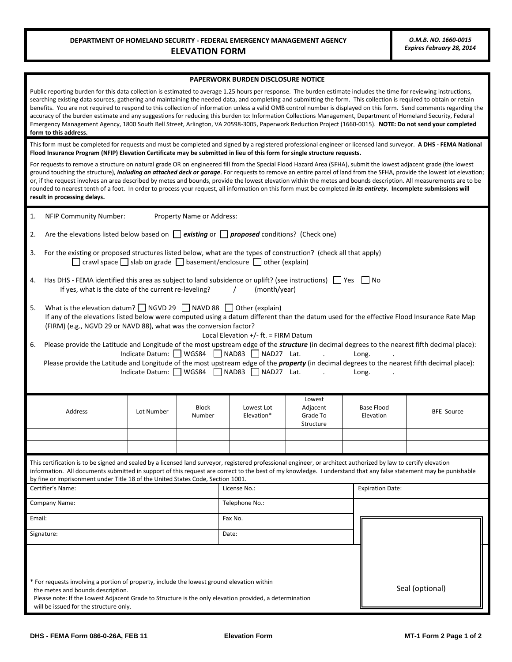## **PAPERWORK BURDEN DISCLOSURE NOTICE**

| Public reporting burden for this data collection is estimated to average 1.25 hours per response. The burden estimate includes the time for reviewing instructions,<br>searching existing data sources, gathering and maintaining the needed data, and completing and submitting the form. This collection is required to obtain or retain<br>benefits. You are not required to respond to this collection of information unless a valid OMB control number is displayed on this form. Send comments regarding the<br>accuracy of the burden estimate and any suggestions for reducing this burden to: Information Collections Management, Department of Homeland Security, Federal<br>Emergency Management Agency, 1800 South Bell Street, Arlington, VA 20598-3005, Paperwork Reduction Project (1660-0015). NOTE: Do not send your completed<br>form to this address. |                                                                                                                                                                                                                                                                                                       |            |                           |                                                                                          |                                             |                                |                   |
|--------------------------------------------------------------------------------------------------------------------------------------------------------------------------------------------------------------------------------------------------------------------------------------------------------------------------------------------------------------------------------------------------------------------------------------------------------------------------------------------------------------------------------------------------------------------------------------------------------------------------------------------------------------------------------------------------------------------------------------------------------------------------------------------------------------------------------------------------------------------------|-------------------------------------------------------------------------------------------------------------------------------------------------------------------------------------------------------------------------------------------------------------------------------------------------------|------------|---------------------------|------------------------------------------------------------------------------------------|---------------------------------------------|--------------------------------|-------------------|
|                                                                                                                                                                                                                                                                                                                                                                                                                                                                                                                                                                                                                                                                                                                                                                                                                                                                          | This form must be completed for requests and must be completed and signed by a registered professional engineer or licensed land surveyor. A DHS - FEMA National<br>Flood Insurance Program (NFIP) Elevation Certificate may be submitted in lieu of this form for single structure requests.         |            |                           |                                                                                          |                                             |                                |                   |
| For requests to remove a structure on natural grade OR on engineered fill from the Special Flood Hazard Area (SFHA), submit the lowest adjacent grade (the lowest<br>ground touching the structure), <i>including an attached deck or garage</i> . For requests to remove an entire parcel of land from the SFHA, provide the lowest lot elevation;<br>or, if the request involves an area described by metes and bounds, provide the lowest elevation within the metes and bounds description. All measurements are to be<br>rounded to nearest tenth of a foot. In order to process your request, all information on this form must be completed <i>in its entirety</i> . Incomplete submissions will<br>result in processing delays.                                                                                                                                  |                                                                                                                                                                                                                                                                                                       |            |                           |                                                                                          |                                             |                                |                   |
| 1.                                                                                                                                                                                                                                                                                                                                                                                                                                                                                                                                                                                                                                                                                                                                                                                                                                                                       | <b>NFIP Community Number:</b><br>Property Name or Address:                                                                                                                                                                                                                                            |            |                           |                                                                                          |                                             |                                |                   |
| 2.                                                                                                                                                                                                                                                                                                                                                                                                                                                                                                                                                                                                                                                                                                                                                                                                                                                                       | Are the elevations listed below based on $\Box$ existing or $\Box$ proposed conditions? (Check one)                                                                                                                                                                                                   |            |                           |                                                                                          |                                             |                                |                   |
| 3.                                                                                                                                                                                                                                                                                                                                                                                                                                                                                                                                                                                                                                                                                                                                                                                                                                                                       | For the existing or proposed structures listed below, what are the types of construction? (check all that apply)                                                                                                                                                                                      |            |                           | $\Box$ crawl space $\Box$ slab on grade $\Box$ basement/enclosure $\Box$ other (explain) |                                             |                                |                   |
| 4.                                                                                                                                                                                                                                                                                                                                                                                                                                                                                                                                                                                                                                                                                                                                                                                                                                                                       | Has DHS - FEMA identified this area as subject to land subsidence or uplift? (see instructions) $\Box$ Yes<br>If yes, what is the date of the current re-leveling?                                                                                                                                    |            |                           | (month/year)                                                                             |                                             | l INo                          |                   |
| 5.                                                                                                                                                                                                                                                                                                                                                                                                                                                                                                                                                                                                                                                                                                                                                                                                                                                                       | What is the elevation datum? $\Box$ NGVD 29 $\Box$ NAVD 88 $\Box$ Other (explain)<br>If any of the elevations listed below were computed using a datum different than the datum used for the effective Flood Insurance Rate Map<br>(FIRM) (e.g., NGVD 29 or NAVD 88), what was the conversion factor? |            |                           |                                                                                          |                                             |                                |                   |
| Local Elevation $+/-$ ft. = FIRM Datum<br>Please provide the Latitude and Longitude of the most upstream edge of the <i>structure</i> (in decimal degrees to the nearest fifth decimal place):<br>6.<br>Indicate Datum: WGS84 NAD83 NAD27 Lat.<br>Long.<br>Please provide the Latitude and Longitude of the most upstream edge of the <i>property</i> (in decimal degrees to the nearest fifth decimal place):<br>Indicate Datum: WGS84 NAD83 NAD27 Lat.<br>Long.                                                                                                                                                                                                                                                                                                                                                                                                        |                                                                                                                                                                                                                                                                                                       |            |                           |                                                                                          |                                             |                                |                   |
|                                                                                                                                                                                                                                                                                                                                                                                                                                                                                                                                                                                                                                                                                                                                                                                                                                                                          | <b>Address</b>                                                                                                                                                                                                                                                                                        | Lot Number | <b>Block</b><br>Number    | Lowest Lot<br>Elevation*                                                                 | Lowest<br>Adjacent<br>Grade To<br>Structure | <b>Base Flood</b><br>Elevation | <b>BFE Source</b> |
|                                                                                                                                                                                                                                                                                                                                                                                                                                                                                                                                                                                                                                                                                                                                                                                                                                                                          |                                                                                                                                                                                                                                                                                                       |            |                           |                                                                                          |                                             |                                |                   |
| This certification is to be signed and sealed by a licensed land surveyor, registered professional engineer, or architect authorized by law to certify elevation<br>information. All documents submitted in support of this request are correct to the best of my knowledge. I understand that any false statement may be punishable<br>by fine or imprisonment under Title 18 of the United States Code, Section 1001.                                                                                                                                                                                                                                                                                                                                                                                                                                                  |                                                                                                                                                                                                                                                                                                       |            |                           |                                                                                          |                                             |                                |                   |
|                                                                                                                                                                                                                                                                                                                                                                                                                                                                                                                                                                                                                                                                                                                                                                                                                                                                          | Certifier's Name:                                                                                                                                                                                                                                                                                     |            |                           | License No.:                                                                             |                                             | <b>Expiration Date:</b>        |                   |
| Company Name:<br>Email:                                                                                                                                                                                                                                                                                                                                                                                                                                                                                                                                                                                                                                                                                                                                                                                                                                                  |                                                                                                                                                                                                                                                                                                       |            | Telephone No.:<br>Fax No. |                                                                                          |                                             |                                |                   |
| Signature:                                                                                                                                                                                                                                                                                                                                                                                                                                                                                                                                                                                                                                                                                                                                                                                                                                                               |                                                                                                                                                                                                                                                                                                       |            | Date:                     |                                                                                          |                                             |                                |                   |
| * For requests involving a portion of property, include the lowest ground elevation within<br>the metes and bounds description.<br>Please note: If the Lowest Adjacent Grade to Structure is the only elevation provided, a determination<br>will be issued for the structure only.                                                                                                                                                                                                                                                                                                                                                                                                                                                                                                                                                                                      |                                                                                                                                                                                                                                                                                                       |            |                           |                                                                                          | Seal (optional)                             |                                |                   |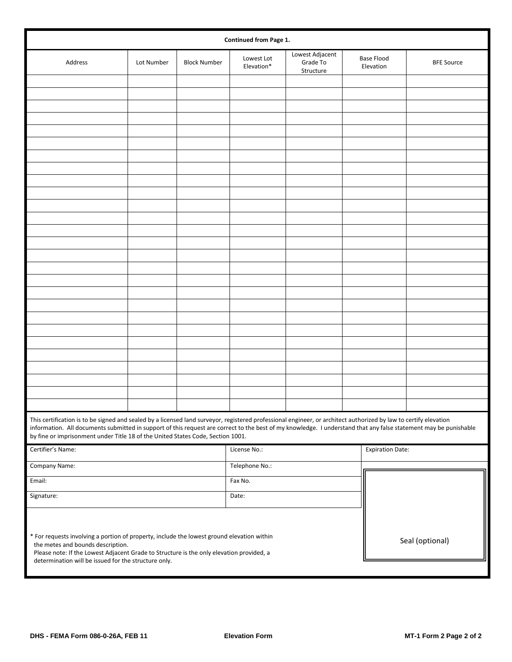| Continued from Page 1.                                                                                                                                                                                                                                                                                                                                                                                                  |            |                     |                          |                                          |                 |                                |                   |
|-------------------------------------------------------------------------------------------------------------------------------------------------------------------------------------------------------------------------------------------------------------------------------------------------------------------------------------------------------------------------------------------------------------------------|------------|---------------------|--------------------------|------------------------------------------|-----------------|--------------------------------|-------------------|
| Address                                                                                                                                                                                                                                                                                                                                                                                                                 | Lot Number | <b>Block Number</b> | Lowest Lot<br>Elevation* | Lowest Adjacent<br>Grade To<br>Structure |                 | <b>Base Flood</b><br>Elevation | <b>BFE Source</b> |
|                                                                                                                                                                                                                                                                                                                                                                                                                         |            |                     |                          |                                          |                 |                                |                   |
|                                                                                                                                                                                                                                                                                                                                                                                                                         |            |                     |                          |                                          |                 |                                |                   |
|                                                                                                                                                                                                                                                                                                                                                                                                                         |            |                     |                          |                                          |                 |                                |                   |
|                                                                                                                                                                                                                                                                                                                                                                                                                         |            |                     |                          |                                          |                 |                                |                   |
|                                                                                                                                                                                                                                                                                                                                                                                                                         |            |                     |                          |                                          |                 |                                |                   |
|                                                                                                                                                                                                                                                                                                                                                                                                                         |            |                     |                          |                                          |                 |                                |                   |
|                                                                                                                                                                                                                                                                                                                                                                                                                         |            |                     |                          |                                          |                 |                                |                   |
|                                                                                                                                                                                                                                                                                                                                                                                                                         |            |                     |                          |                                          |                 |                                |                   |
|                                                                                                                                                                                                                                                                                                                                                                                                                         |            |                     |                          |                                          |                 |                                |                   |
|                                                                                                                                                                                                                                                                                                                                                                                                                         |            |                     |                          |                                          |                 |                                |                   |
|                                                                                                                                                                                                                                                                                                                                                                                                                         |            |                     |                          |                                          |                 |                                |                   |
|                                                                                                                                                                                                                                                                                                                                                                                                                         |            |                     |                          |                                          |                 |                                |                   |
|                                                                                                                                                                                                                                                                                                                                                                                                                         |            |                     |                          |                                          |                 |                                |                   |
|                                                                                                                                                                                                                                                                                                                                                                                                                         |            |                     |                          |                                          |                 |                                |                   |
|                                                                                                                                                                                                                                                                                                                                                                                                                         |            |                     |                          |                                          |                 |                                |                   |
|                                                                                                                                                                                                                                                                                                                                                                                                                         |            |                     |                          |                                          |                 |                                |                   |
|                                                                                                                                                                                                                                                                                                                                                                                                                         |            |                     |                          |                                          |                 |                                |                   |
|                                                                                                                                                                                                                                                                                                                                                                                                                         |            |                     |                          |                                          |                 |                                |                   |
|                                                                                                                                                                                                                                                                                                                                                                                                                         |            |                     |                          |                                          |                 |                                |                   |
|                                                                                                                                                                                                                                                                                                                                                                                                                         |            |                     |                          |                                          |                 |                                |                   |
|                                                                                                                                                                                                                                                                                                                                                                                                                         |            |                     |                          |                                          |                 |                                |                   |
|                                                                                                                                                                                                                                                                                                                                                                                                                         |            |                     |                          |                                          |                 |                                |                   |
|                                                                                                                                                                                                                                                                                                                                                                                                                         |            |                     |                          |                                          |                 |                                |                   |
|                                                                                                                                                                                                                                                                                                                                                                                                                         |            |                     |                          |                                          |                 |                                |                   |
|                                                                                                                                                                                                                                                                                                                                                                                                                         |            |                     |                          |                                          |                 |                                |                   |
|                                                                                                                                                                                                                                                                                                                                                                                                                         |            |                     |                          |                                          |                 |                                |                   |
| This certification is to be signed and sealed by a licensed land surveyor, registered professional engineer, or architect authorized by law to certify elevation<br>information. All documents submitted in support of this request are correct to the best of my knowledge. I understand that any false statement may be punishable<br>by fine or imprisonment under Title 18 of the United States Code, Section 1001. |            |                     |                          |                                          |                 |                                |                   |
| Certifier's Name:                                                                                                                                                                                                                                                                                                                                                                                                       |            |                     | License No.:             |                                          |                 | <b>Expiration Date:</b>        |                   |
| Company Name:                                                                                                                                                                                                                                                                                                                                                                                                           |            |                     | Telephone No.:           |                                          |                 |                                |                   |
| Email:                                                                                                                                                                                                                                                                                                                                                                                                                  |            |                     | Fax No.                  |                                          |                 |                                |                   |
| Signature:                                                                                                                                                                                                                                                                                                                                                                                                              |            |                     | Date:                    |                                          |                 |                                |                   |
| * For requests involving a portion of property, include the lowest ground elevation within<br>the metes and bounds description.<br>Please note: If the Lowest Adjacent Grade to Structure is the only elevation provided, a<br>determination will be issued for the structure only.                                                                                                                                     |            |                     |                          |                                          | Seal (optional) |                                |                   |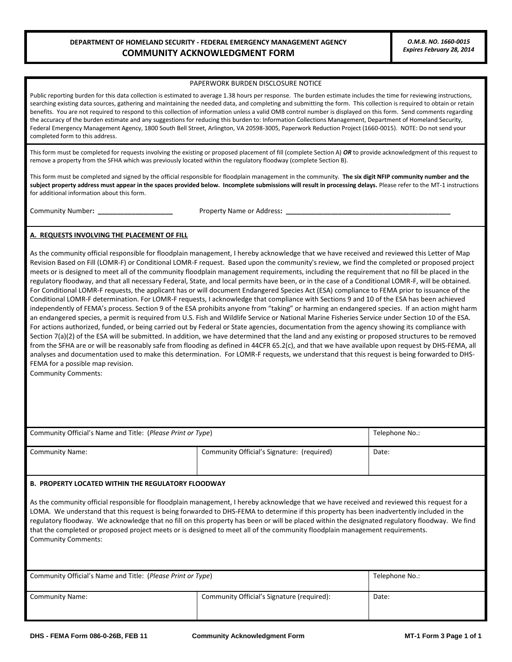## **DEPARTMENT OF HOMELAND SECURITY - FEDERAL EMERGENCY MANAGEMENT AGENCY** *O.M.B. NO. 1660-0015*  **COMMUNITY ACKNOWLEDGMENT FORM** *Expires February 28, 2014*

#### PAPERWORK BURDEN DISCLOSURE NOTICE

 Federal Emergency Management Agency, 1800 South Bell Street, Arlington, VA 20598-3005, Paperwork Reduction Project (1660-0015). NOTE: Do not send your Public reporting burden for this data collection is estimated to average 1.38 hours per response. The burden estimate includes the time for reviewing instructions, searching existing data sources, gathering and maintaining the needed data, and completing and submitting the form. This collection is required to obtain or retain benefits. You are not required to respond to this collection of information unless a valid OMB control number is displayed on this form. Send comments regarding the accuracy of the burden estimate and any suggestions for reducing this burden to: Information Collections Management, Department of Homeland Security, completed form to this address.

This form must be completed for requests involving the existing or proposed placement of fill (complete Section A) *OR* to provide acknowledgment of this request to remove a property from the SFHA which was previously located within the regulatory floodway (complete Section B).

 **subject property address must appear in the spaces provided below. Incomplete submissions will result in processing delays.** Please refer to the MT-1 instructions This form must be completed and signed by the official responsible for floodplain management in the community. **The six digit NFIP community number and the**  for additional information about this form.

Community Number: \_

Property Name or Address: \_

### **A. REQUESTS INVOLVING THE PLACEMENT OF FILL**

 an endangered species, a permit is required from U.S. Fish and Wildlife Service or National Marine Fisheries Service under Section 10 of the ESA. As the community official responsible for floodplain management, I hereby acknowledge that we have received and reviewed this Letter of Map Revision Based on Fill (LOMR-F) or Conditional LOMR-F request. Based upon the community's review, we find the completed or proposed project meets or is designed to meet all of the community floodplain management requirements, including the requirement that no fill be placed in the regulatory floodway, and that all necessary Federal, State, and local permits have been, or in the case of a Conditional LOMR-F, will be obtained. For Conditional LOMR-F requests, the applicant has or will document Endangered Species Act (ESA) compliance to FEMA prior to issuance of the Conditional LOMR-F determination. For LOMR-F requests, I acknowledge that compliance with Sections 9 and 10 of the ESA has been achieved independently of FEMA's process. Section 9 of the ESA prohibits anyone from "taking" or harming an endangered species. If an action might harm For actions authorized, funded, or being carried out by Federal or State agencies, documentation from the agency showing its compliance with Section 7(a)(2) of the ESA will be submitted. In addition, we have determined that the land and any existing or proposed structures to be removed from the SFHA are or will be reasonably safe from flooding as defined in 44CFR 65.2(c), and that we have available upon request by DHS-FEMA, all analyses and documentation used to make this determination. For LOMR-F requests, we understand that this request is being forwarded to DHS-FEMA for a possible map revision.

Community Comments:

| Community Official's Name and Title: (Please Print or Type) | Telephone No.:                             |       |
|-------------------------------------------------------------|--------------------------------------------|-------|
| <b>Community Name:</b>                                      | Community Official's Signature: (required) | Date: |

### **B. PROPERTY LOCATED WITHIN THE REGULATORY FLOODWAY**

 LOMA. We understand that this request is being forwarded to DHS-FEMA to determine if this property has been inadvertently included in the As the community official responsible for floodplain management, I hereby acknowledge that we have received and reviewed this request for a regulatory floodway. We acknowledge that no fill on this property has been or will be placed within the designated regulatory floodway. We find that the completed or proposed project meets or is designed to meet all of the community floodplain management requirements. Community Comments:

| Community Official's Name and Title: (Please Print or Type) | Telephone No.:                             |       |
|-------------------------------------------------------------|--------------------------------------------|-------|
| <b>Community Name:</b>                                      | Community Official's Signature (required): | Date: |